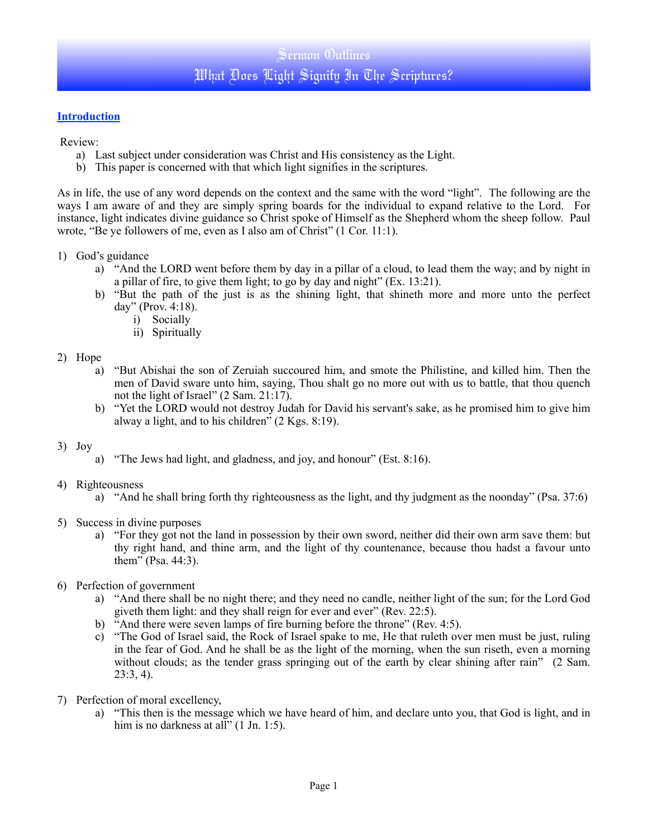## **Introduction**

Review:

- a) Last subject under consideration was Christ and His consistency as the Light.
- b) This paper is concerned with that which light signifies in the scriptures.

As in life, the use of any word depends on the context and the same with the word "light". The following are the ways I am aware of and they are simply spring boards for the individual to expand relative to the Lord. For instance, light indicates divine guidance so Christ spoke of Himself as the Shepherd whom the sheep follow. Paul wrote, "Be ye followers of me, even as I also am of Christ" (1 Cor. 11:1).

- 1) God's guidance
	- a) "And the LORD went before them by day in a pillar of a cloud, to lead them the way; and by night in a pillar of fire, to give them light; to go by day and night" (Ex. 13:21).
	- b) "But the path of the just is as the shining light, that shineth more and more unto the perfect day" (Prov. 4:18).
		- i) Socially
		- ii) Spiritually

### 2) Hope

- a) "But Abishai the son of Zeruiah succoured him, and smote the Philistine, and killed him. Then the men of David sware unto him, saying, Thou shalt go no more out with us to battle, that thou quench not the light of Israel" (2 Sam. 21:17).
- b) "Yet the LORD would not destroy Judah for David his servant's sake, as he promised him to give him alway a light, and to his children" (2 Kgs. 8:19).

#### 3) Joy

a) "The Jews had light, and gladness, and joy, and honour" (Est. 8:16).

### 4) Righteousness

- a) "And he shall bring forth thy righteousness as the light, and thy judgment as the noonday" (Psa. 37:6)
- 5) Success in divine purposes
	- a) "For they got not the land in possession by their own sword, neither did their own arm save them: but thy right hand, and thine arm, and the light of thy countenance, because thou hadst a favour unto them" (Psa. 44:3).
- 6) Perfection of government
	- a) "And there shall be no night there; and they need no candle, neither light of the sun; for the Lord God giveth them light: and they shall reign for ever and ever" (Rev. 22:5).
	- b) "And there were seven lamps of fire burning before the throne" (Rev. 4:5).
	- c) "The God of Israel said, the Rock of Israel spake to me, He that ruleth over men must be just, ruling in the fear of God. And he shall be as the light of the morning, when the sun riseth, even a morning without clouds; as the tender grass springing out of the earth by clear shining after rain" (2 Sam. 23:3, 4).
- 7) Perfection of moral excellency,
	- a) "This then is the message which we have heard of him, and declare unto you, that God is light, and in him is no darkness at all" (1 Jn. 1:5).